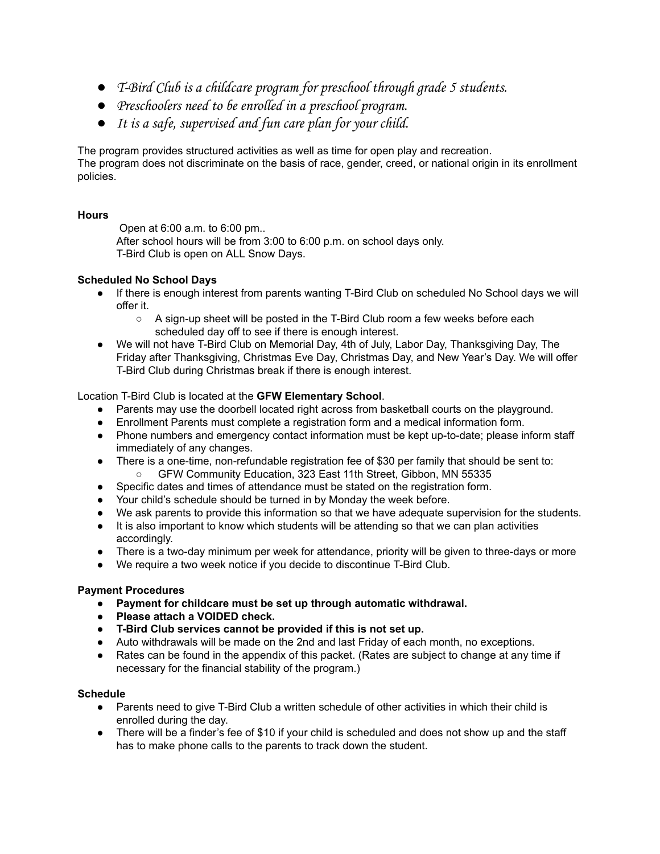- T-Bird Club is a childcare program for preschool through grade 5 students.
- Preschoolers need to be enrolled in a preschool program.
- It is a safe, supervised and fun care plan for your child.

The program provides structured activities as well as time for open play and recreation. The program does not discriminate on the basis of race, gender, creed, or national origin in its enrollment policies.

### **Hours**

Open at 6:00 a.m. to 6:00 pm.. After school hours will be from 3:00 to 6:00 p.m. on school days only. T-Bird Club is open on ALL Snow Days.

### **Scheduled No School Days**

- If there is enough interest from parents wanting T-Bird Club on scheduled No School days we will offer it.
	- $\circ$  A sign-up sheet will be posted in the T-Bird Club room a few weeks before each scheduled day off to see if there is enough interest.
- We will not have T-Bird Club on Memorial Day, 4th of July, Labor Day, Thanksgiving Day, The Friday after Thanksgiving, Christmas Eve Day, Christmas Day, and New Year's Day. We will offer T-Bird Club during Christmas break if there is enough interest.

Location T-Bird Club is located at the **GFW Elementary School**.

- Parents may use the doorbell located right across from basketball courts on the playground.
- Enrollment Parents must complete a registration form and a medical information form.
- Phone numbers and emergency contact information must be kept up-to-date; please inform staff immediately of any changes.
- There is a one-time, non-refundable registration fee of \$30 per family that should be sent to: ○ GFW Community Education, 323 East 11th Street, Gibbon, MN 55335
- Specific dates and times of attendance must be stated on the registration form.
- Your child's schedule should be turned in by Monday the week before.
- We ask parents to provide this information so that we have adequate supervision for the students.
- It is also important to know which students will be attending so that we can plan activities accordingly.
- There is a two-day minimum per week for attendance, priority will be given to three-days or more
- We require a two week notice if you decide to discontinue T-Bird Club.

### **Payment Procedures**

- **● Payment for childcare must be set up through automatic withdrawal.**
- **● Please attach a VOIDED check.**
- **● T-Bird Club services cannot be provided if this is not set up.**
- Auto withdrawals will be made on the 2nd and last Friday of each month, no exceptions.
- Rates can be found in the appendix of this packet. (Rates are subject to change at any time if necessary for the financial stability of the program.)

### **Schedule**

- Parents need to give T-Bird Club a written schedule of other activities in which their child is enrolled during the day.
- There will be a finder's fee of \$10 if your child is scheduled and does not show up and the staff has to make phone calls to the parents to track down the student.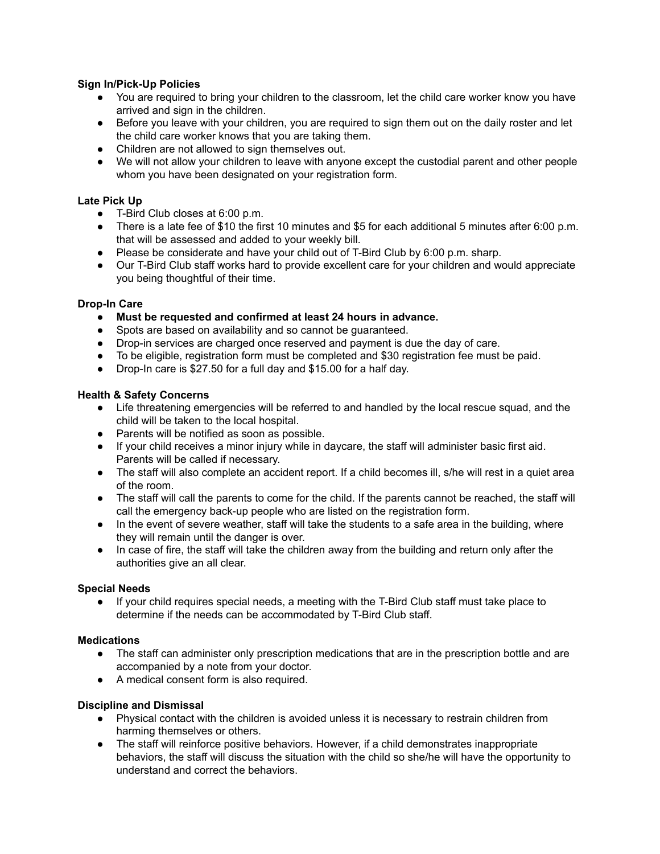### **Sign In/Pick-Up Policies**

- You are required to bring your children to the classroom, let the child care worker know you have arrived and sign in the children.
- Before you leave with your children, you are required to sign them out on the daily roster and let the child care worker knows that you are taking them.
- Children are not allowed to sign themselves out.
- We will not allow your children to leave with anyone except the custodial parent and other people whom you have been designated on your registration form.

### **Late Pick Up**

- T-Bird Club closes at 6:00 p.m.
- There is a late fee of \$10 the first 10 minutes and \$5 for each additional 5 minutes after 6:00 p.m. that will be assessed and added to your weekly bill.
- Please be considerate and have your child out of T-Bird Club by 6:00 p.m. sharp.
- Our T-Bird Club staff works hard to provide excellent care for your children and would appreciate you being thoughtful of their time.

### **Drop-In Care**

- **● Must be requested and confirmed at least 24 hours in advance.**
- Spots are based on availability and so cannot be guaranteed.
- Drop-in services are charged once reserved and payment is due the day of care.
- To be eligible, registration form must be completed and \$30 registration fee must be paid.
- Drop-In care is \$27.50 for a full day and \$15.00 for a half day.

### **Health & Safety Concerns**

- Life threatening emergencies will be referred to and handled by the local rescue squad, and the child will be taken to the local hospital.
- Parents will be notified as soon as possible.
- If your child receives a minor injury while in daycare, the staff will administer basic first aid. Parents will be called if necessary.
- The staff will also complete an accident report. If a child becomes ill, s/he will rest in a quiet area of the room.
- The staff will call the parents to come for the child. If the parents cannot be reached, the staff will call the emergency back-up people who are listed on the registration form.
- In the event of severe weather, staff will take the students to a safe area in the building, where they will remain until the danger is over.
- In case of fire, the staff will take the children away from the building and return only after the authorities give an all clear.

### **Special Needs**

● If your child requires special needs, a meeting with the T-Bird Club staff must take place to determine if the needs can be accommodated by T-Bird Club staff.

### **Medications**

- The staff can administer only prescription medications that are in the prescription bottle and are accompanied by a note from your doctor.
- A medical consent form is also required.

### **Discipline and Dismissal**

- Physical contact with the children is avoided unless it is necessary to restrain children from harming themselves or others.
- The staff will reinforce positive behaviors. However, if a child demonstrates inappropriate behaviors, the staff will discuss the situation with the child so she/he will have the opportunity to understand and correct the behaviors.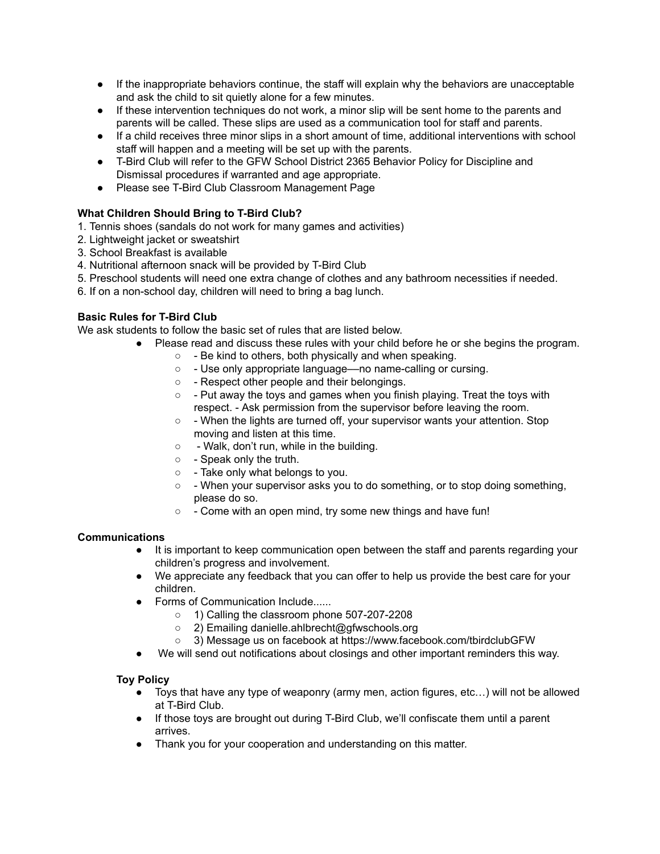- If the inappropriate behaviors continue, the staff will explain why the behaviors are unacceptable and ask the child to sit quietly alone for a few minutes.
- If these intervention techniques do not work, a minor slip will be sent home to the parents and parents will be called. These slips are used as a communication tool for staff and parents.
- If a child receives three minor slips in a short amount of time, additional interventions with school staff will happen and a meeting will be set up with the parents.
- T-Bird Club will refer to the GFW School District 2365 Behavior Policy for Discipline and Dismissal procedures if warranted and age appropriate.
- Please see T-Bird Club Classroom Management Page

## **What Children Should Bring to T-Bird Club?**

- 1. Tennis shoes (sandals do not work for many games and activities)
- 2. Lightweight jacket or sweatshirt
- 3. School Breakfast is available
- 4. Nutritional afternoon snack will be provided by T-Bird Club
- 5. Preschool students will need one extra change of clothes and any bathroom necessities if needed.
- 6. If on a non-school day, children will need to bring a bag lunch.

## **Basic Rules for T-Bird Club**

We ask students to follow the basic set of rules that are listed below.

- Please read and discuss these rules with your child before he or she begins the program.
	- - Be kind to others, both physically and when speaking.
	- - Use only appropriate language––no name-calling or cursing.
	- - Respect other people and their belongings.
	- - Put away the toys and games when you finish playing. Treat the toys with respect. - Ask permission from the supervisor before leaving the room.
	- - When the lights are turned off, your supervisor wants your attention. Stop moving and listen at this time.
	- - Walk, don't run, while in the building.
	- - Speak only the truth.
	- - Take only what belongs to you.
	- - When your supervisor asks you to do something, or to stop doing something, please do so.
	- - Come with an open mind, try some new things and have fun!

### **Communications**

- It is important to keep communication open between the staff and parents regarding your children's progress and involvement.
- We appreciate any feedback that you can offer to help us provide the best care for your children.
- Forms of Communication Include......
	- 1) Calling the classroom phone 507-207-2208
	- 2) Emailing danielle.ahlbrecht@gfwschools.org
	- 3) Message us on facebook at https://www.facebook.com/tbirdclubGFW
- We will send out notifications about closings and other important reminders this way.

### **Toy Policy**

- Toys that have any type of weaponry (army men, action figures, etc…) will not be allowed at T-Bird Club.
- If those toys are brought out during T-Bird Club, we'll confiscate them until a parent arrives.
- Thank you for your cooperation and understanding on this matter.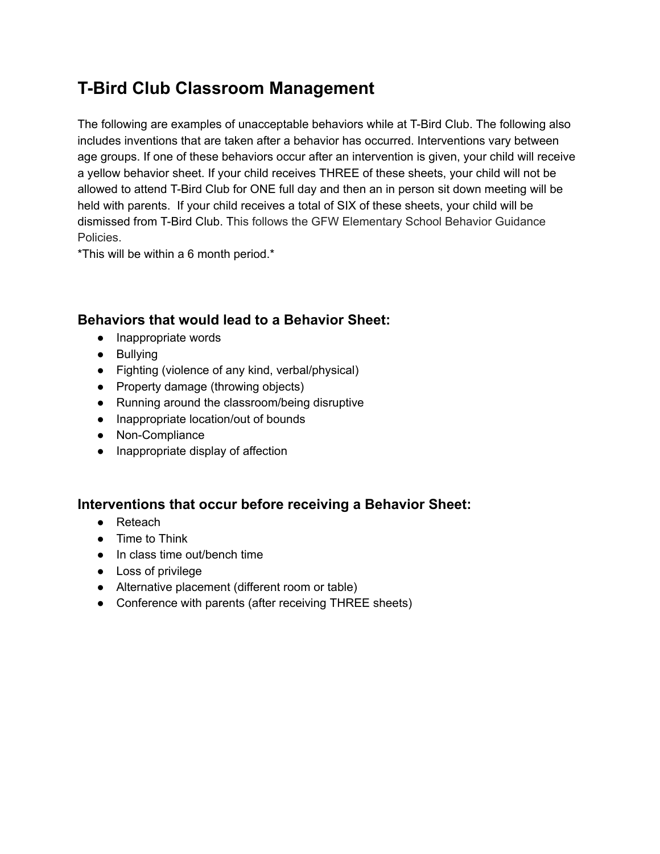# **T-Bird Club Classroom Management**

The following are examples of unacceptable behaviors while at T-Bird Club. The following also includes inventions that are taken after a behavior has occurred. Interventions vary between age groups. If one of these behaviors occur after an intervention is given, your child will receive a yellow behavior sheet. If your child receives THREE of these sheets, your child will not be allowed to attend T-Bird Club for ONE full day and then an in person sit down meeting will be held with parents. If your child receives a total of SIX of these sheets, your child will be dismissed from T-Bird Club. This follows the GFW Elementary School Behavior Guidance Policies.

\*This will be within a 6 month period.\*

# **Behaviors that would lead to a Behavior Sheet:**

- Inappropriate words
- Bullying
- Fighting (violence of any kind, verbal/physical)
- Property damage (throwing objects)
- Running around the classroom/being disruptive
- Inappropriate location/out of bounds
- Non-Compliance
- Inappropriate display of affection

## **Interventions that occur before receiving a Behavior Sheet:**

- Reteach
- Time to Think
- In class time out/bench time
- Loss of privilege
- Alternative placement (different room or table)
- Conference with parents (after receiving THREE sheets)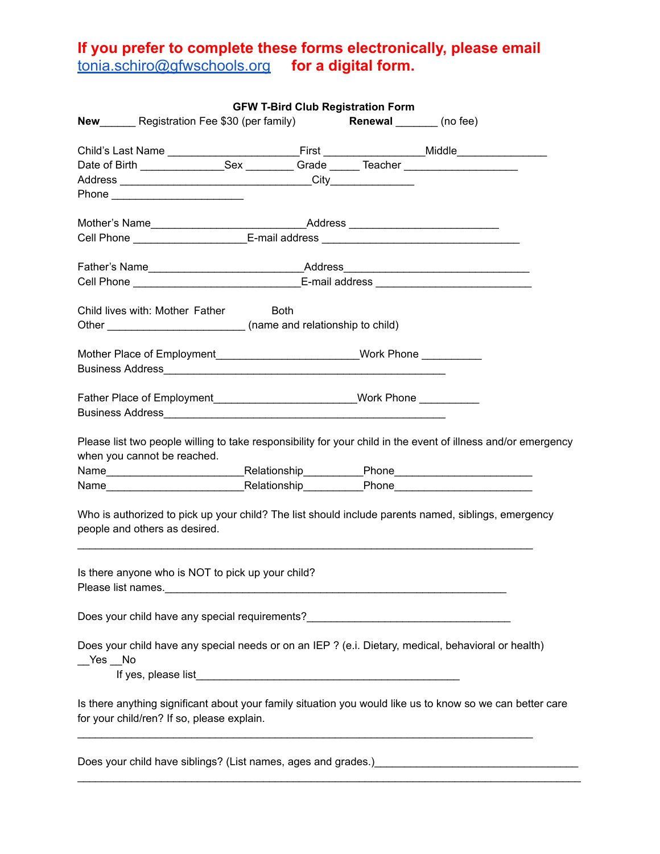# **If you prefer to complete these forms electronically, please email** tonia.schiro@gfwschools.org **for a digital form.**

|                                                                                                                 | <b>GFW T-Bird Club Registration Form</b> |                                                                                                               |
|-----------------------------------------------------------------------------------------------------------------|------------------------------------------|---------------------------------------------------------------------------------------------------------------|
| New Registration Fee \$30 (per family) Renewal _______ (no fee)                                                 |                                          |                                                                                                               |
|                                                                                                                 |                                          |                                                                                                               |
|                                                                                                                 |                                          |                                                                                                               |
|                                                                                                                 |                                          |                                                                                                               |
|                                                                                                                 |                                          |                                                                                                               |
|                                                                                                                 |                                          |                                                                                                               |
| Mother's Name_________________________________Address __________________________                                |                                          |                                                                                                               |
| Cell Phone _______________________E-mail address _______________________________                                |                                          |                                                                                                               |
|                                                                                                                 |                                          |                                                                                                               |
|                                                                                                                 |                                          |                                                                                                               |
| Cell Phone __________________________________E-mail address ____________________                                |                                          |                                                                                                               |
| Child lives with: Mother Father Both                                                                            |                                          |                                                                                                               |
| Other ________________________________ (name and relationship to child)                                         |                                          |                                                                                                               |
|                                                                                                                 |                                          |                                                                                                               |
| Mother Place of Employment____________________________Work Phone _______________                                |                                          |                                                                                                               |
|                                                                                                                 |                                          |                                                                                                               |
|                                                                                                                 |                                          |                                                                                                               |
| Father Place of Employment___________________________Work Phone ____________                                    |                                          |                                                                                                               |
|                                                                                                                 |                                          |                                                                                                               |
| when you cannot be reached.                                                                                     |                                          | Please list two people willing to take responsibility for your child in the event of illness and/or emergency |
|                                                                                                                 |                                          |                                                                                                               |
| people and others as desired.                                                                                   |                                          | Who is authorized to pick up your child? The list should include parents named, siblings, emergency           |
| Is there anyone who is NOT to pick up your child?<br>Please list names.                                         |                                          |                                                                                                               |
| Does your child have any special requirements?__________________________________                                |                                          |                                                                                                               |
| Does your child have any special needs or on an IEP ? (e.i. Dietary, medical, behavioral or health)<br>$Yes$ No |                                          |                                                                                                               |
|                                                                                                                 |                                          |                                                                                                               |
| for your child/ren? If so, please explain.                                                                      |                                          | Is there anything significant about your family situation you would like us to know so we can better care     |
|                                                                                                                 |                                          | Does your child have siblings? (List names, ages and grades.) examples the state of the state of the state of |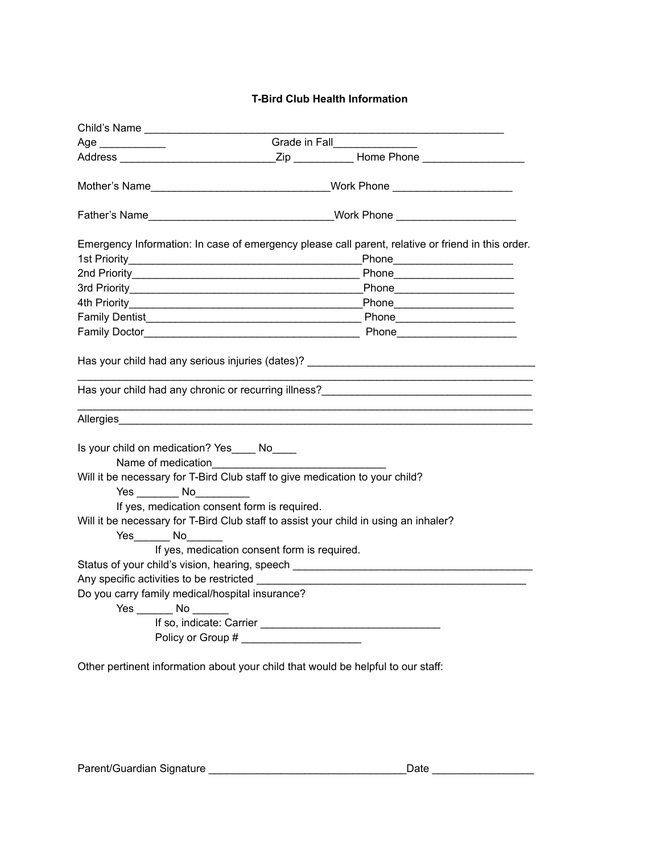## **T-Bird Club Health Information**

| Age _____________                                             | Grade in Fall________________                                                                              |
|---------------------------------------------------------------|------------------------------------------------------------------------------------------------------------|
|                                                               |                                                                                                            |
|                                                               | Mother's Name__________________________________Work Phone ______________________                           |
|                                                               | Father's Name <b>Example 2018</b> Work Phone <b>Work Phone</b>                                             |
|                                                               | Emergency Information: In case of emergency please call parent, relative or friend in this order.          |
|                                                               |                                                                                                            |
|                                                               |                                                                                                            |
|                                                               |                                                                                                            |
|                                                               |                                                                                                            |
|                                                               |                                                                                                            |
|                                                               | Allergies <b>Allergies Allergies Allergies Allergies Allergies Allergies Allergies Allergies Allergies</b> |
| Is your child on medication? Yes____ No____                   | Will it be necessary for T-Bird Club staff to give medication to your child?                               |
| $Yes$ No $\qquad \qquad No$                                   |                                                                                                            |
| If yes, medication consent form is required.<br>$Yes$ No $No$ | Will it be necessary for T-Bird Club staff to assist your child in using an inhaler?                       |
|                                                               | If yes, medication consent form is required.                                                               |
|                                                               | Status of your child's vision, hearing, speech _________________________________                           |
| Any specific activities to be restricted ________             |                                                                                                            |
| Do you carry family medical/hospital insurance?               |                                                                                                            |
| $Yes \_\_\_No \_\_\_$                                         |                                                                                                            |
|                                                               |                                                                                                            |
|                                                               | Policy or Group # _______________________                                                                  |
|                                                               |                                                                                                            |

Other pertinent information about your child that would be helpful to our staff: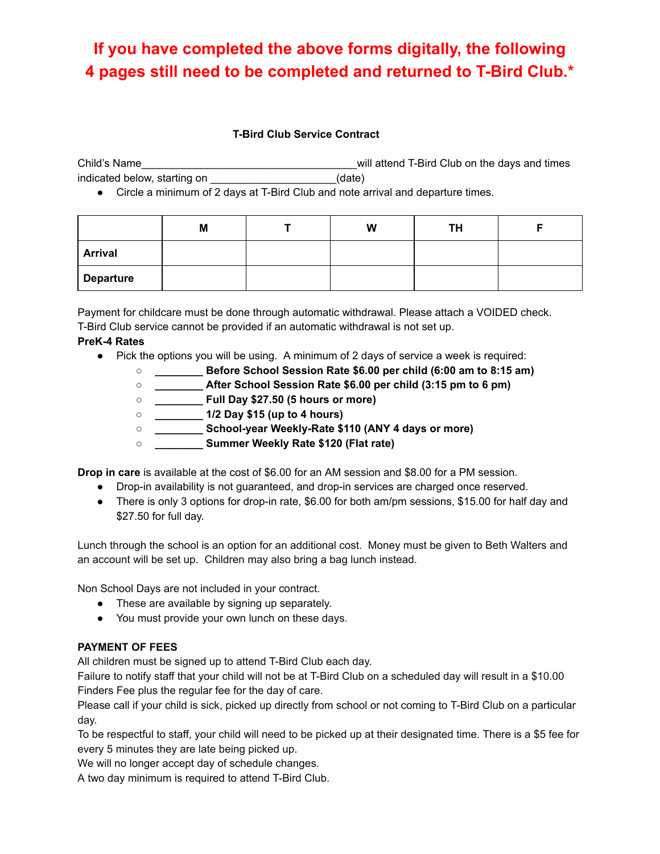# **If you have completed the above forms digitally, the following 4 pages still need to be completed and returned to T-Bird Club.\***

### **T-Bird Club Service Contract**

Child's Name\_\_\_\_\_\_\_\_\_\_\_\_\_\_\_\_\_\_\_\_\_\_\_\_\_\_\_\_\_\_\_\_\_\_\_\_will attend T-Bird Club on the days and times indicated below, starting on \_\_\_\_\_\_\_\_\_\_\_\_\_\_\_\_\_\_\_\_\_\_(date)

● Circle a minimum of 2 days at T-Bird Club and note arrival and departure times.

|                  | M | W | TH |  |
|------------------|---|---|----|--|
| <b>Arrival</b>   |   |   |    |  |
| <b>Departure</b> |   |   |    |  |

Payment for childcare must be done through automatic withdrawal. Please attach a VOIDED check. T-Bird Club service cannot be provided if an automatic withdrawal is not set up.

## **PreK-4 Rates**

- Pick the options you will be using. A minimum of 2 days of service a week is required:
	- **○ \_\_\_\_\_\_\_\_ Before School Session Rate \$6.00 per child (6:00 am to 8:15 am)**
	- **○ \_\_\_\_\_\_\_\_ After School Session Rate \$6.00 per child (3:15 pm to 6 pm)**
	- **○ \_\_\_\_\_\_\_\_ Full Day \$27.50 (5 hours or more)**
	- **○ \_\_\_\_\_\_\_\_ 1/2 Day \$15 (up to 4 hours)**
	- **○ \_\_\_\_\_\_\_\_ School-year Weekly-Rate \$110 (ANY 4 days or more)**
	- **○ \_\_\_\_\_\_\_\_ Summer Weekly Rate \$120 (Flat rate)**

**Drop in care** is available at the cost of \$6.00 for an AM session and \$8.00 for a PM session.

- Drop-in availability is not guaranteed, and drop-in services are charged once reserved.
- There is only 3 options for drop-in rate, \$6.00 for both am/pm sessions, \$15.00 for half day and \$27.50 for full day.

Lunch through the school is an option for an additional cost. Money must be given to Beth Walters and an account will be set up. Children may also bring a bag lunch instead.

Non School Days are not included in your contract.

- These are available by signing up separately.
- You must provide your own lunch on these days.

## **PAYMENT OF FEES**

All children must be signed up to attend T-Bird Club each day.

Failure to notify staff that your child will not be at T-Bird Club on a scheduled day will result in a \$10.00 Finders Fee plus the regular fee for the day of care.

Please call if your child is sick, picked up directly from school or not coming to T-Bird Club on a particular day.

To be respectful to staff, your child will need to be picked up at their designated time. There is a \$5 fee for every 5 minutes they are late being picked up.

We will no longer accept day of schedule changes.

A two day minimum is required to attend T-Bird Club.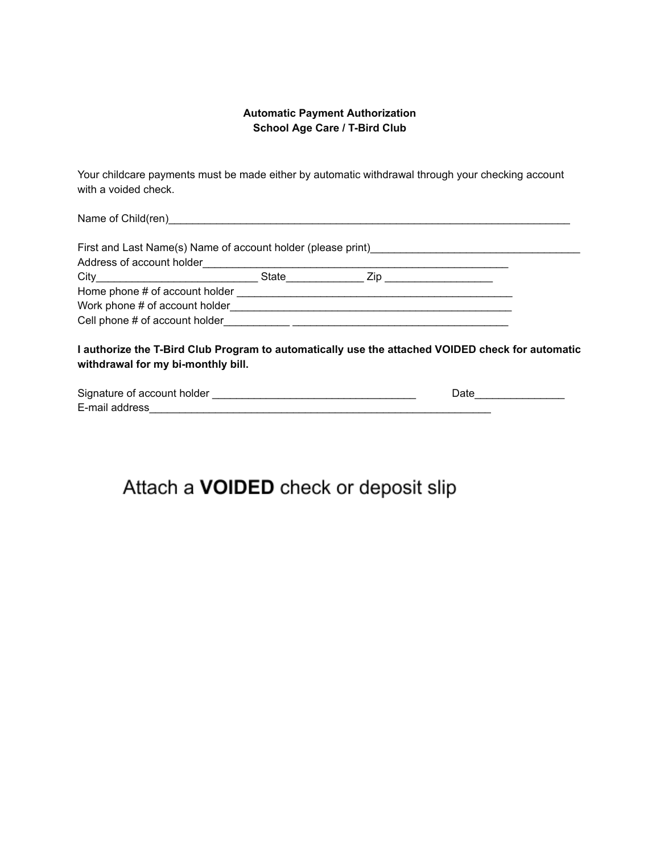## **Automatic Payment Authorization School Age Care / T-Bird Club**

Your childcare payments must be made either by automatic withdrawal through your checking account with a voided check.

Name of Child(ren)\_\_\_\_\_\_\_\_\_\_\_\_\_\_\_\_\_\_\_\_\_\_\_\_\_\_\_\_\_\_\_\_\_\_\_\_\_\_\_\_\_\_\_\_\_\_\_\_\_\_\_\_\_\_\_\_\_\_\_\_\_\_\_\_\_\_\_

| First and Last Name(s) Name of account holder (please print)                                                                 |       |      |  |
|------------------------------------------------------------------------------------------------------------------------------|-------|------|--|
| Address of account holder                                                                                                    |       |      |  |
| City<br><u> 1980 - Jan Stein Stein Stein Stein Stein Stein Stein Stein Stein Stein Stein Stein Stein Stein Stein Stein S</u> | State | Zip. |  |
| Home phone # of account holder                                                                                               |       |      |  |
| Work phone # of account holder                                                                                               |       |      |  |
| Cell phone # of account holder                                                                                               |       |      |  |

**I authorize the T-Bird Club Program to automatically use the attached VOIDED check for automatic withdrawal for my bi-monthly bill.**

| Signature of account holder | つate |
|-----------------------------|------|
| E-mail address              |      |

# Attach a VOIDED check or deposit slip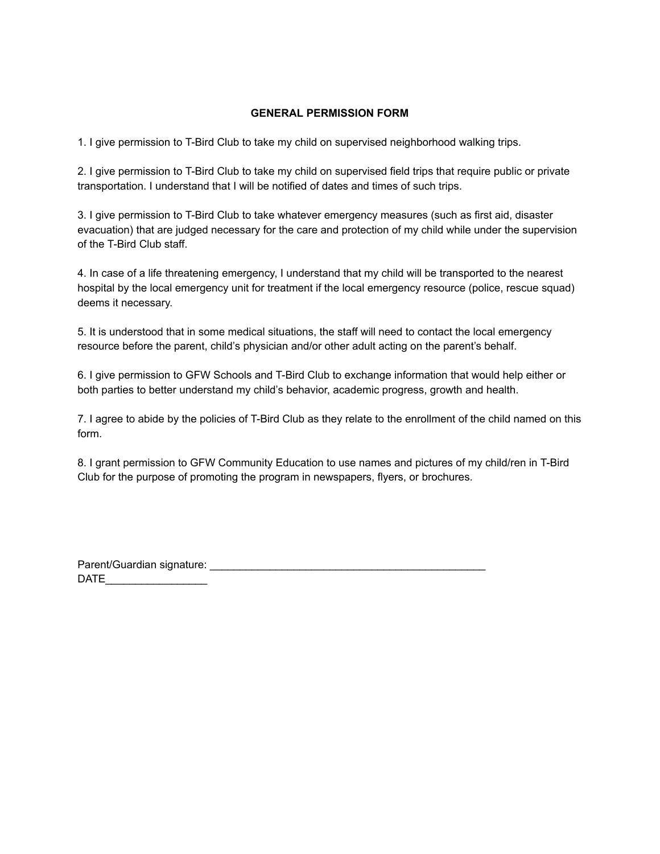### **GENERAL PERMISSION FORM**

1. I give permission to T-Bird Club to take my child on supervised neighborhood walking trips.

2. I give permission to T-Bird Club to take my child on supervised field trips that require public or private transportation. I understand that I will be notified of dates and times of such trips.

3. I give permission to T-Bird Club to take whatever emergency measures (such as first aid, disaster evacuation) that are judged necessary for the care and protection of my child while under the supervision of the T-Bird Club staff.

4. In case of a life threatening emergency, I understand that my child will be transported to the nearest hospital by the local emergency unit for treatment if the local emergency resource (police, rescue squad) deems it necessary.

5. It is understood that in some medical situations, the staff will need to contact the local emergency resource before the parent, child's physician and/or other adult acting on the parent's behalf.

6. I give permission to GFW Schools and T-Bird Club to exchange information that would help either or both parties to better understand my child's behavior, academic progress, growth and health.

7. I agree to abide by the policies of T-Bird Club as they relate to the enrollment of the child named on this form.

8. I grant permission to GFW Community Education to use names and pictures of my child/ren in T-Bird Club for the purpose of promoting the program in newspapers, flyers, or brochures.

Parent/Guardian signature:  $DATE$